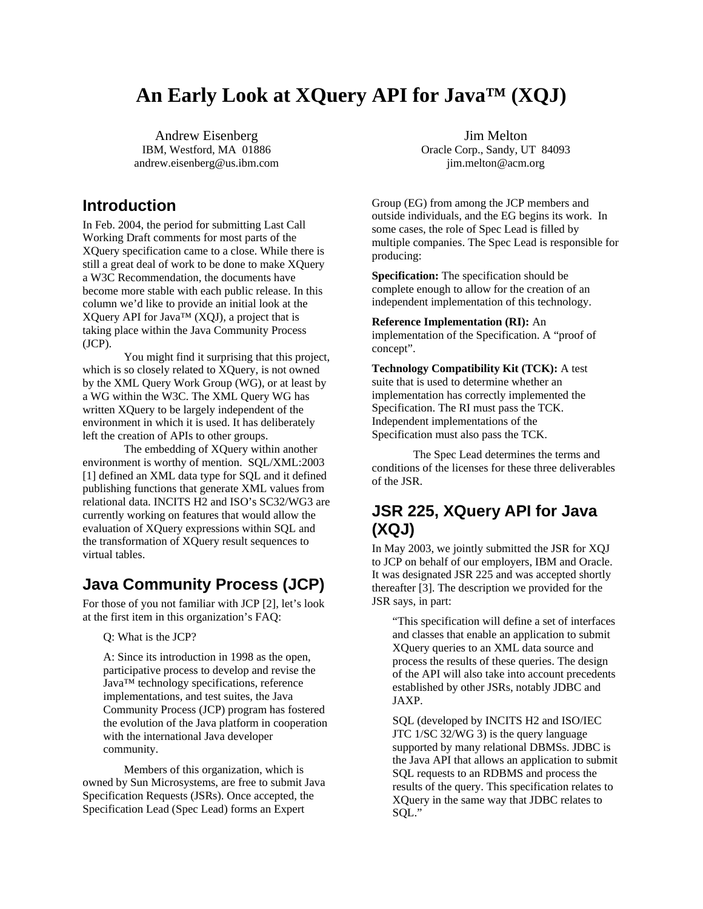# **An Early Look at XQuery API for Java™ (XQJ)**

Andrew Eisenberg IBM, Westford, MA 01886 andrew.eisenberg@us.ibm.com

### **Introduction**

In Feb. 2004, the period for submitting Last Call Working Draft comments for most parts of the XQuery specification came to a close. While there is still a great deal of work to be done to make XQuery a W3C Recommendation, the documents have become more stable with each public release. In this column we'd like to provide an initial look at the XQuery API for Java™ (XQJ), a project that is taking place within the Java Community Process (JCP).

You might find it surprising that this project, which is so closely related to XQuery, is not owned by the XML Query Work Group (WG), or at least by a WG within the W3C. The XML Query WG has written XQuery to be largely independent of the environment in which it is used. It has deliberately left the creation of APIs to other groups.

The embedding of XQuery within another environment is worthy of mention. SQL/XML:2003 [\[1\]](#page-6-0) defined an XML data type for SQL and it defined publishing functions that generate XML values from relational data. INCITS H2 and ISO's SC32/WG3 are currently working on features that would allow the evaluation of XQuery expressions within SQL and the transformation of XQuery result sequences to virtual tables.

## **Java Community Process (JCP)**

For those of you not familiar with JCP [\[2\],](#page-6-1) let's look at the first item in this organization's FAQ:

Q: What is the JCP?

A: Since its introduction in 1998 as the open, participative process to develop and revise the Java™ technology specifications, reference implementations, and test suites, the Java Community Process (JCP) program has fostered the evolution of the Java platform in cooperation with the international Java developer community.

Members of this organization, which is owned by Sun Microsystems, are free to submit Java Specification Requests (JSRs). Once accepted, the Specification Lead (Spec Lead) forms an Expert

Jim Melton Oracle Corp., Sandy, UT 84093 jim.melton@acm.org

Group (EG) from among the JCP members and outside individuals, and the EG begins its work. In some cases, the role of Spec Lead is filled by multiple companies. The Spec Lead is responsible for producing:

**Specification:** The specification should be complete enough to allow for the creation of an independent implementation of this technology.

**Reference Implementation (RI):** An implementation of the Specification. A "proof of concept".

**Technology Compatibility Kit (TCK):** A test suite that is used to determine whether an implementation has correctly implemented the Specification. The RI must pass the TCK. Independent implementations of the Specification must also pass the TCK.

The Spec Lead determines the terms and conditions of the licenses for these three deliverables of the JSR.

## **JSR 225, XQuery API for Java (XQJ)**

In May 2003, we jointly submitted the JSR for XQJ to JCP on behalf of our employers, IBM and Oracle. It was designated JSR 225 and was accepted shortly thereafter [\[3\].](#page-6-2) The description we provided for the JSR says, in part:

"This specification will define a set of interfaces and classes that enable an application to submit XQuery queries to an XML data source and process the results of these queries. The design of the API will also take into account precedents established by other JSRs, notably JDBC and JAXP.

SQL (developed by INCITS H2 and ISO/IEC JTC 1/SC 32/WG 3) is the query language supported by many relational DBMSs. JDBC is the Java API that allows an application to submit SQL requests to an RDBMS and process the results of the query. This specification relates to XQuery in the same way that JDBC relates to SQL."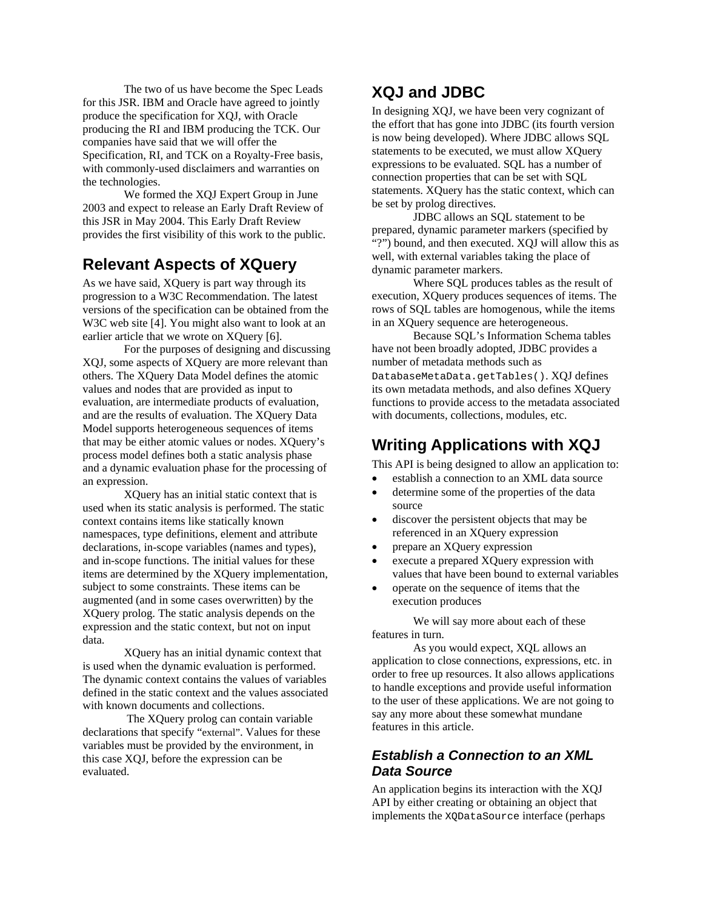The two of us have become the Spec Leads for this JSR. IBM and Oracle have agreed to jointly produce the specification for XQJ, with Oracle producing the RI and IBM producing the TCK. Our companies have said that we will offer the Specification, RI, and TCK on a Royalty-Free basis, with commonly-used disclaimers and warranties on the technologies.

We formed the XQJ Expert Group in June 2003 and expect to release an Early Draft Review of this JSR in May 2004. This Early Draft Review provides the first visibility of this work to the public.

## **Relevant Aspects of XQuery**

As we have said, XQuery is part way through its progression to a W3C Recommendation. The latest versions of the specification can be obtained from the W3C web site [\[4\].](#page-6-3) You might also want to look at an earlier article that we wrote on XQuery [\[6\].](#page-6-4)

For the purposes of designing and discussing XQJ, some aspects of XQuery are more relevant than others. The XQuery Data Model defines the atomic values and nodes that are provided as input to evaluation, are intermediate products of evaluation, and are the results of evaluation. The XQuery Data Model supports heterogeneous sequences of items that may be either atomic values or nodes. XQuery's process model defines both a static analysis phase and a dynamic evaluation phase for the processing of an expression.

XQuery has an initial static context that is used when its static analysis is performed. The static context contains items like statically known namespaces, type definitions, element and attribute declarations, in-scope variables (names and types), and in-scope functions. The initial values for these items are determined by the XQuery implementation, subject to some constraints. These items can be augmented (and in some cases overwritten) by the XQuery prolog. The static analysis depends on the expression and the static context, but not on input data.

XQuery has an initial dynamic context that is used when the dynamic evaluation is performed. The dynamic context contains the values of variables defined in the static context and the values associated with known documents and collections.

 The XQuery prolog can contain variable declarations that specify "external". Values for these variables must be provided by the environment, in this case XQJ, before the expression can be evaluated.

## **XQJ and JDBC**

In designing XQJ, we have been very cognizant of the effort that has gone into JDBC (its fourth version is now being developed). Where JDBC allows SQL statements to be executed, we must allow XQuery expressions to be evaluated. SQL has a number of connection properties that can be set with SQL statements. XQuery has the static context, which can be set by prolog directives.

JDBC allows an SQL statement to be prepared, dynamic parameter markers (specified by "?") bound, and then executed. XQJ will allow this as well, with external variables taking the place of dynamic parameter markers.

Where SQL produces tables as the result of execution, XQuery produces sequences of items. The rows of SQL tables are homogenous, while the items in an XQuery sequence are heterogeneous.

Because SQL's Information Schema tables have not been broadly adopted, JDBC provides a number of metadata methods such as DatabaseMetaData.getTables(). XOJ defines its own metadata methods, and also defines XQuery functions to provide access to the metadata associated with documents, collections, modules, etc.

## **Writing Applications with XQJ**

This API is being designed to allow an application to:

- establish a connection to an XML data source
- determine some of the properties of the data source
- discover the persistent objects that may be referenced in an XQuery expression
- prepare an XQuery expression
- execute a prepared XQuery expression with values that have been bound to external variables
- operate on the sequence of items that the execution produces

We will say more about each of these features in turn.

As you would expect, XQL allows an application to close connections, expressions, etc. in order to free up resources. It also allows applications to handle exceptions and provide useful information to the user of these applications. We are not going to say any more about these somewhat mundane features in this article.

#### *Establish a Connection to an XML Data Source*

An application begins its interaction with the XQJ API by either creating or obtaining an object that implements the XQDataSource interface (perhaps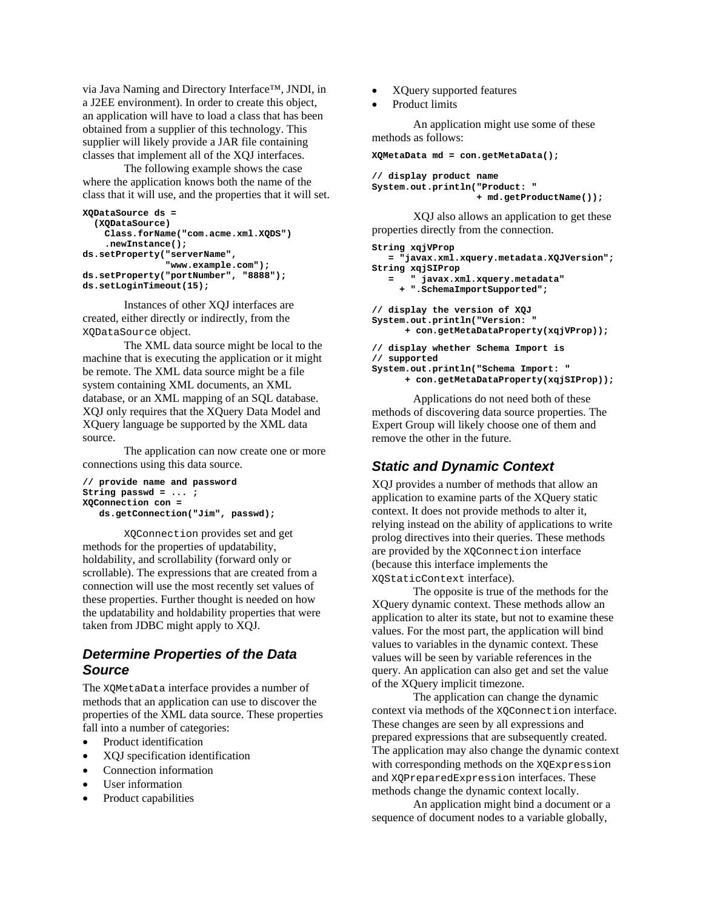via Java Naming and Directory Interface™, JNDI, in a J2EE environment). In order to create this object, an application will have to load a class that has been obtained from a supplier of this technology. This supplier will likely provide a JAR file containing classes that implement all of the XQJ interfaces.

The following example shows the case where the application knows both the name of the class that it will use, and the properties that it will set.

```
XQDataSource ds = 
   (XQDataSource) 
     Class.forName("com.acme.xml.XQDS") 
     .newInstance(); 
ds.setProperty("serverName", 
                 "www.example.com"); 
ds.setProperty("portNumber", "8888"); 
ds.setLoginTimeout(15);
```
Instances of other XQJ interfaces are created, either directly or indirectly, from the XQDataSource object.

The XML data source might be local to the machine that is executing the application or it might be remote. The XML data source might be a file system containing XML documents, an XML database, or an XML mapping of an SQL database. XQJ only requires that the XQuery Data Model and XQuery language be supported by the XML data source.

The application can now create one or more connections using this data source.

```
// provide name and password 
String passwd = ... ; 
XQConnection con = 
    ds.getConnection("Jim", passwd);
```
XQConnection provides set and get methods for the properties of updatability, holdability, and scrollability (forward only or scrollable). The expressions that are created from a connection will use the most recently set values of these properties. Further thought is needed on how the updatability and holdability properties that were taken from JDBC might apply to XQJ.

### *Determine Properties of the Data Source*

The XQMetaData interface provides a number of methods that an application can use to discover the properties of the XML data source. These properties fall into a number of categories:

- Product identification
- XQJ specification identification
- Connection information
- User information
- Product capabilities
- XQuery supported features
- Product limits

An application might use some of these methods as follows:

```
XQMetaData md = con.getMetaData();
```
**// display product name System.out.println("Product: " + md.getProductName());** 

XQJ also allows an application to get these properties directly from the connection.

```
String xqjVProp 
   = "javax.xml.xquery.metadata.XQJVersion"; 
String xqjSIProp 
        = " javax.xml.xquery.metadata" 
      + ".SchemaImportSupported"; 
// display the version of XQJ 
System.out.println("Version: " 
       + con.getMetaDataProperty(xqjVProp)); 
// display whether Schema Import is 
// supported 
System.out.println("Schema Import: " 
       + con.getMetaDataProperty(xqjSIProp));
```
Applications do not need both of these methods of discovering data source properties. The Expert Group will likely choose one of them and remove the other in the future.

## *Static and Dynamic Context*

XQJ provides a number of methods that allow an application to examine parts of the XQuery static context. It does not provide methods to alter it, relying instead on the ability of applications to write prolog directives into their queries. These methods are provided by the XQConnection interface (because this interface implements the XQStaticContext interface).

The opposite is true of the methods for the XQuery dynamic context. These methods allow an application to alter its state, but not to examine these values. For the most part, the application will bind values to variables in the dynamic context. These values will be seen by variable references in the query. An application can also get and set the value of the XQuery implicit timezone.

The application can change the dynamic context via methods of the XQConnection interface. These changes are seen by all expressions and prepared expressions that are subsequently created. The application may also change the dynamic context with corresponding methods on the XQExpression and XQPreparedExpression interfaces. These methods change the dynamic context locally.

An application might bind a document or a sequence of document nodes to a variable globally,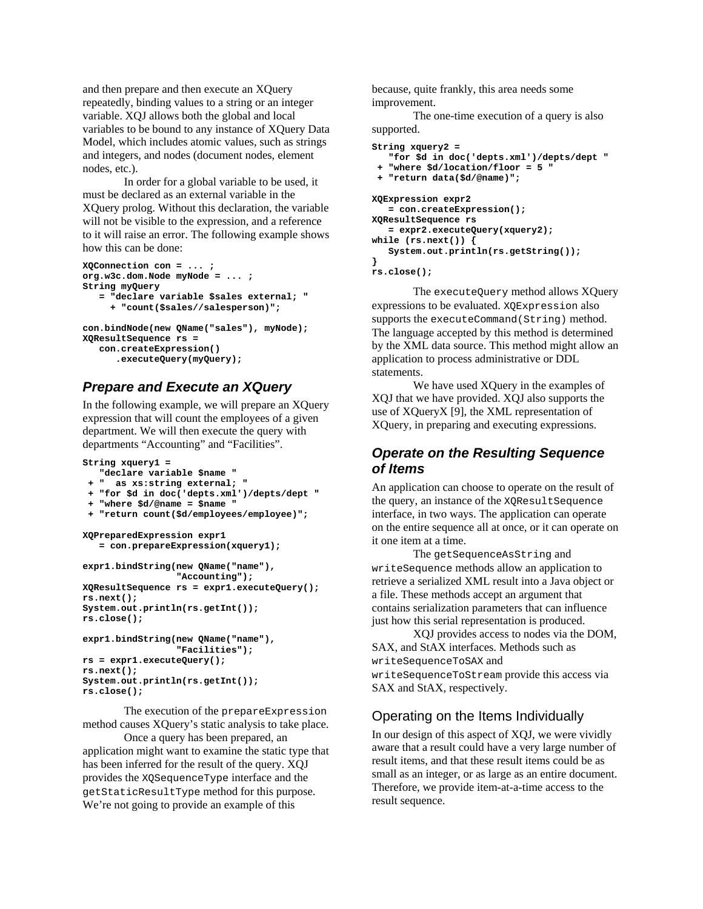and then prepare and then execute an XQuery repeatedly, binding values to a string or an integer variable. XQJ allows both the global and local variables to be bound to any instance of XQuery Data Model, which includes atomic values, such as strings and integers, and nodes (document nodes, element nodes, etc.).

In order for a global variable to be used, it must be declared as an external variable in the XQuery prolog. Without this declaration, the variable will not be visible to the expression, and a reference to it will raise an error. The following example shows how this can be done:

```
XQConnection con = ... ; 
org.w3c.dom.Node myNode = ... ; 
String myQuery 
    = "declare variable $sales external; " 
      + "count($sales//salesperson)"; 
con.bindNode(new QName("sales"), myNode); 
XQResultSequence rs =
```

```
 con.createExpression() 
    .executeQuery(myQuery);
```
### *Prepare and Execute an XQuery*

In the following example, we will prepare an XQuery expression that will count the employees of a given department. We will then execute the query with departments "Accounting" and "Facilities".

```
String xquery1 = 
    "declare variable $name " 
  + " as xs:string external; " 
  + "for $d in doc('depts.xml')/depts/dept " 
  + "where $d/@name = $name " 
  + "return count($d/employees/employee)"; 
XQPreparedExpression expr1 
    = con.prepareExpression(xquery1); 
expr1.bindString(new QName("name"), 
                   "Accounting"); 
XQResultSequence rs = expr1.executeQuery(); 
rs.next(); 
System.out.println(rs.getInt()); 
rs.close(); 
expr1.bindString(new QName("name"), 
                   "Facilities"); 
rs = expr1.executeQuery(); 
rs.next(); 
System.out.println(rs.getInt());
```
The execution of the prepareExpression method causes XQuery's static analysis to take place.

**rs.close();** 

Once a query has been prepared, an application might want to examine the static type that has been inferred for the result of the query. XQJ provides the XQSequenceType interface and the getStaticResultType method for this purpose. We're not going to provide an example of this

because, quite frankly, this area needs some improvement.

The one-time execution of a query is also supported.

```
String xquery2 = 
    "for $d in doc('depts.xml')/depts/dept " 
  + "where $d/location/floor = 5 " 
  + "return data($d/@name)"; 
XQExpression expr2 
   = con.createExpression(); 
XQResultSequence rs 
    = expr2.executeQuery(xquery2); 
while (rs.next()) { 
    System.out.println(rs.getString()); 
} 
rs.close();
```
The executeQuery method allows XQuery expressions to be evaluated. XQExpression also supports the executeCommand(String) method. The language accepted by this method is determined by the XML data source. This method might allow an application to process administrative or DDL statements.

We have used XQuery in the examples of XQJ that we have provided. XQJ also supports the use of XQueryX [\[9\],](#page-6-5) the XML representation of XQuery, in preparing and executing expressions.

#### *Operate on the Resulting Sequence of Items*

An application can choose to operate on the result of the query, an instance of the XQResultSequence interface, in two ways. The application can operate on the entire sequence all at once, or it can operate on it one item at a time.

The getSequenceAsString and writeSequence methods allow an application to retrieve a serialized XML result into a Java object or a file. These methods accept an argument that contains serialization parameters that can influence just how this serial representation is produced.

XQJ provides access to nodes via the DOM, SAX, and StAX interfaces. Methods such as writeSequenceToSAX and writeSequenceToStream provide this access via SAX and StAX, respectively.

#### Operating on the Items Individually

In our design of this aspect of XQJ, we were vividly aware that a result could have a very large number of result items, and that these result items could be as small as an integer, or as large as an entire document. Therefore, we provide item-at-a-time access to the result sequence.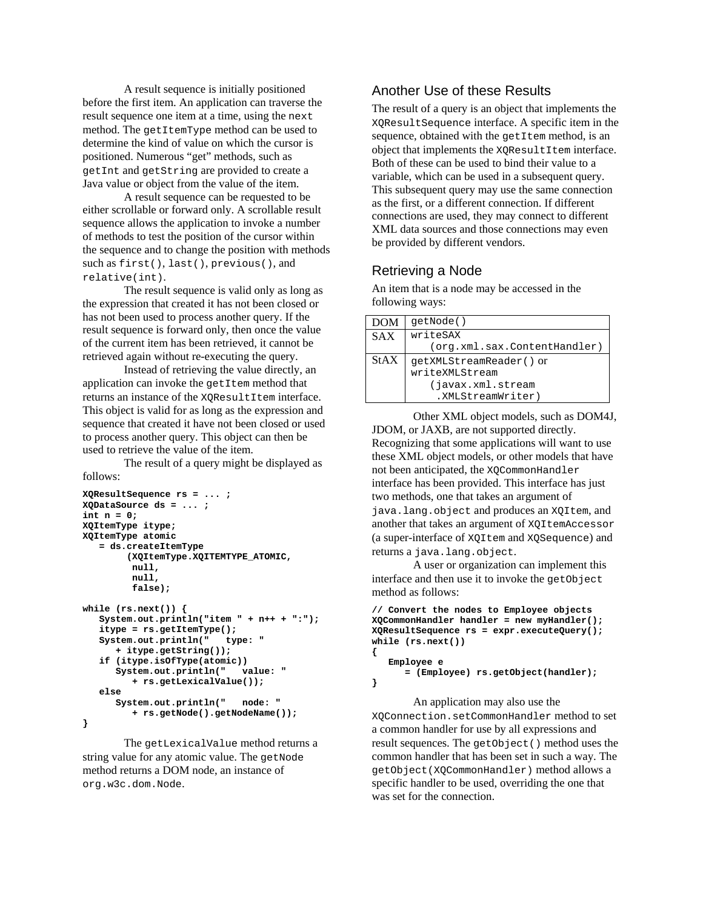A result sequence is initially positioned before the first item. An application can traverse the result sequence one item at a time, using the next method. The getItemType method can be used to determine the kind of value on which the cursor is positioned. Numerous "get" methods, such as getInt and getString are provided to create a Java value or object from the value of the item.

A result sequence can be requested to be either scrollable or forward only. A scrollable result sequence allows the application to invoke a number of methods to test the position of the cursor within the sequence and to change the position with methods such as first(), last(), previous(), and relative(int).

The result sequence is valid only as long as the expression that created it has not been closed or has not been used to process another query. If the result sequence is forward only, then once the value of the current item has been retrieved, it cannot be retrieved again without re-executing the query.

Instead of retrieving the value directly, an application can invoke the getItem method that returns an instance of the XQResultItem interface. This object is valid for as long as the expression and sequence that created it have not been closed or used to process another query. This object can then be used to retrieve the value of the item.

The result of a query might be displayed as follows:

```
XQResultSequence rs = ... ; 
XQDataSource ds = ... ; 
int n = 0; 
XQItemType itype; 
XQItemType atomic 
    = ds.createItemType 
         (XQItemType.XQITEMTYPE_ATOMIC, 
          null, 
          null, 
          false); 
while (rs.next()) { 
    System.out.println("item " + n++ + ":"); 
    itype = rs.getItemType(); 
    System.out.println(" type: " 
        + itype.getString()); 
    if (itype.isOfType(atomic)) 
       System.out.println(" value: " 
          + rs.getLexicalValue()); 
    else 
       System.out.println(" node: " 
          + rs.getNode().getNodeName()); 
}
```
The getLexicalValue method returns a string value for any atomic value. The getNode method returns a DOM node, an instance of org.w3c.dom.Node.

#### Another Use of these Results

The result of a query is an object that implements the XQResultSequence interface. A specific item in the sequence, obtained with the getItem method, is an object that implements the XQResultItem interface. Both of these can be used to bind their value to a variable, which can be used in a subsequent query. This subsequent query may use the same connection as the first, or a different connection. If different connections are used, they may connect to different XML data sources and those connections may even be provided by different vendors.

#### Retrieving a Node

An item that is a node may be accessed in the following ways:

| DOM         | qetNode()                    |
|-------------|------------------------------|
| <b>SAX</b>  | writeSAX                     |
|             | (org.xml.sax.ContentHandler) |
| <b>StAX</b> | getXMLStreamReader() or      |
|             | writeXMLStream               |
|             | (javax.xml.stream            |
|             | .XMLStreamWriter)            |

Other XML object models, such as DOM4J, JDOM, or JAXB, are not supported directly. Recognizing that some applications will want to use these XML object models, or other models that have not been anticipated, the XQCommonHandler interface has been provided. This interface has just two methods, one that takes an argument of java.lang.object and produces an XQItem, and another that takes an argument of XQItemAccessor (a super-interface of XQItem and XQSequence) and returns a java.lang.object.

A user or organization can implement this interface and then use it to invoke the getObject method as follows:

```
// Convert the nodes to Employee objects 
XQCommonHandler handler = new myHandler(); 
XQResultSequence rs = expr.executeQuery(); 
while (rs.next()) 
{ 
    Employee e 
       = (Employee) rs.getObject(handler); 
}
```
An application may also use the XQConnection.setCommonHandler method to set a common handler for use by all expressions and result sequences. The getObject() method uses the common handler that has been set in such a way. The getObject(XQCommonHandler) method allows a specific handler to be used, overriding the one that was set for the connection.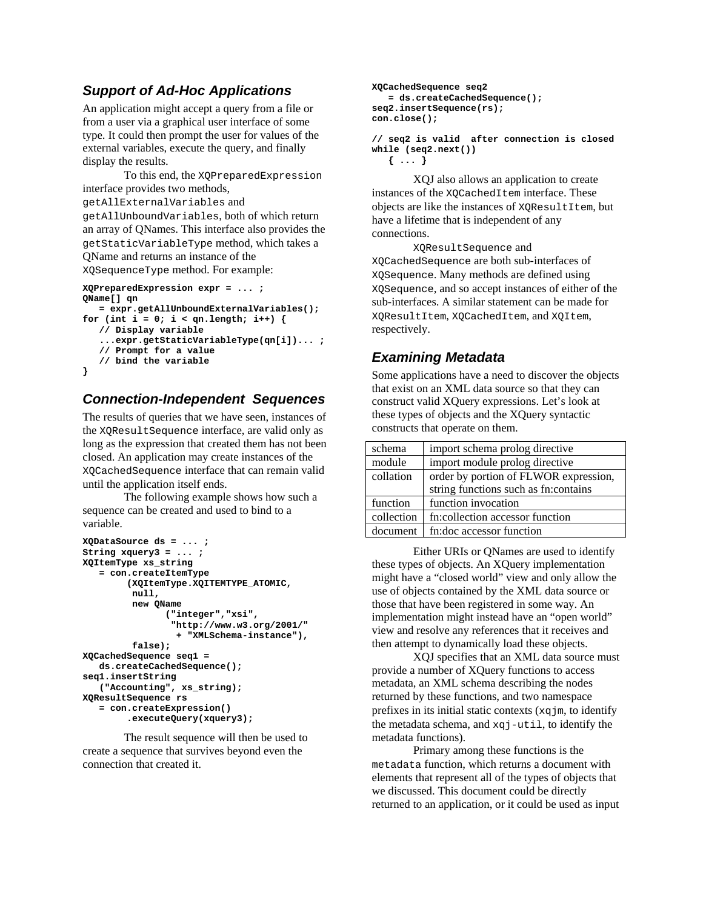## *Support of Ad-Hoc Applications*

An application might accept a query from a file or from a user via a graphical user interface of some type. It could then prompt the user for values of the external variables, execute the query, and finally display the results.

To this end, the XQPreparedExpression interface provides two methods, getAllExternalVariables and getAllUnboundVariables, both of which return an array of QNames. This interface also provides the getStaticVariableType method, which takes a QName and returns an instance of the XQSequenceType method. For example:

```
XQPreparedExpression expr = ... ; 
QName[] qn 
    = expr.getAllUnboundExternalVariables(); 
for (int i = 0; i < qn.length; i+1) {
    // Display variable 
    ...expr.getStaticVariableType(qn[i])... ; 
    // Prompt for a value 
    // bind the variable 
}
```
### *Connection-Independent Sequences*

The results of queries that we have seen, instances of the XQResultSequence interface, are valid only as long as the expression that created them has not been closed. An application may create instances of the XQCachedSequence interface that can remain valid until the application itself ends.

The following example shows how such a sequence can be created and used to bind to a variable.

```
XQDataSource ds = ... ; 
String xquery3 = ... ; 
XQItemType xs_string 
    = con.createItemType 
          (XQItemType.XQITEMTYPE_ATOMIC, 
          null, 
          new QName 
                 ("integer","xsi", 
                  "http://www.w3.org/2001/" 
                   + "XMLSchema-instance"), 
          false); 
XQCachedSequence seq1 = 
    ds.createCachedSequence(); 
seq1.insertString 
    ("Accounting", xs_string); 
XQResultSequence rs 
    = con.createExpression() 
          .executeQuery(xquery3);
```
The result sequence will then be used to create a sequence that survives beyond even the connection that created it.

```
XQCachedSequence seq2 
    = ds.createCachedSequence(); 
seq2.insertSequence(rs); 
con.close();
```
**// seq2 is valid after connection is closed while (seq2.next()) { ... }** 

XQJ also allows an application to create instances of the XQCachedItem interface. These objects are like the instances of XQResultItem, but have a lifetime that is independent of any connections.

XQResultSequence and XQCachedSequence are both sub-interfaces of XQSequence. Many methods are defined using XQSequence, and so accept instances of either of the sub-interfaces. A similar statement can be made for XQResultItem, XQCachedItem, and XQItem, respectively.

## *Examining Metadata*

Some applications have a need to discover the objects that exist on an XML data source so that they can construct valid XQuery expressions. Let's look at these types of objects and the XQuery syntactic constructs that operate on them.

| schema     | import schema prolog directive        |
|------------|---------------------------------------|
| module     | import module prolog directive        |
| collation  | order by portion of FLWOR expression, |
|            | string functions such as fn:contains  |
| function   | function invocation                   |
| collection | fn:collection accessor function       |
| document   | fn:doc accessor function              |
|            |                                       |

Either URIs or QNames are used to identify these types of objects. An XQuery implementation might have a "closed world" view and only allow the use of objects contained by the XML data source or those that have been registered in some way. An implementation might instead have an "open world" view and resolve any references that it receives and then attempt to dynamically load these objects.

XQJ specifies that an XML data source must provide a number of XQuery functions to access metadata, an XML schema describing the nodes returned by these functions, and two namespace prefixes in its initial static contexts  $(xqjm, to identify)$ the metadata schema, and xqj-util, to identify the metadata functions).

Primary among these functions is the metadata function, which returns a document with elements that represent all of the types of objects that we discussed. This document could be directly returned to an application, or it could be used as input